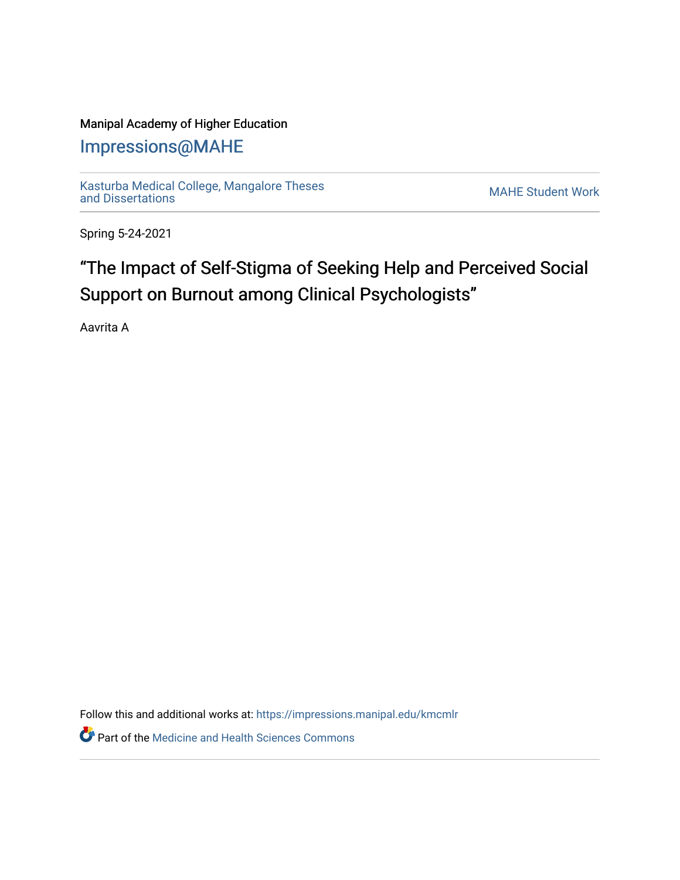### Manipal Academy of Higher Education

## [Impressions@MAHE](https://impressions.manipal.edu/)

[Kasturba Medical College, Mangalore Theses](https://impressions.manipal.edu/kmcmlr) Kasturba Medical College, Mangalore Theses<br>[and Dissertations](https://impressions.manipal.edu/kmcmlr) MAHE Student Work

Spring 5-24-2021

# "The Impact of Self-Stigma of Seeking Help and Perceived Social Support on Burnout among Clinical Psychologists"

Aavrita A

Follow this and additional works at: [https://impressions.manipal.edu/kmcmlr](https://impressions.manipal.edu/kmcmlr?utm_source=impressions.manipal.edu%2Fkmcmlr%2F178&utm_medium=PDF&utm_campaign=PDFCoverPages) 

**Part of the Medicine and Health Sciences Commons**